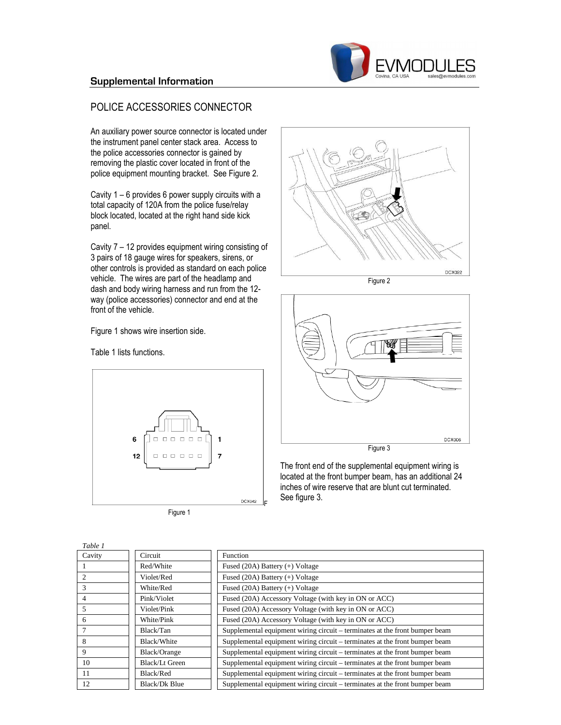

## **Supplemental Information**

## POLICE ACCESSORIES CONNECTOR

An auxiliary power source connector is located under the instrument panel center stack area. Access to the police accessories connector is gained by removing the plastic cover located in front of the police equipment mounting bracket. See Figure 2.

Cavity 1 – 6 provides 6 power supply circuits with a total capacity of 120A from the police fuse/relay block located, located at the right hand side kick panel.

Cavity 7 – 12 provides equipment wiring consisting of 3 pairs of 18 gauge wires for speakers, sirens, or other controls is provided as standard on each police vehicle. The wires are part of the headlamp and dash and body wiring harness and run from the 12 way (police accessories) connector and end at the front of the vehicle.

Figure 1 shows wire insertion side.

Table 1 lists functions.

*Table 1*



Figure 1



Figure 2



The front end of the supplemental equipment wiring is located at the front bumper beam, has an additional 24 inches of wire reserve that are blunt cut terminated. See figure 3.

| Cavity | Circuit               | Function                                                                    |  |
|--------|-----------------------|-----------------------------------------------------------------------------|--|
|        | Red/White             | Fused $(20A)$ Battery $(+)$ Voltage                                         |  |
|        | Violet/Red            | Fused $(20A)$ Battery $(+)$ Voltage                                         |  |
|        | White/Red             | Fused $(20A)$ Battery $(+)$ Voltage                                         |  |
| 4      | Pink/Violet           | Fused (20A) Accessory Voltage (with key in ON or ACC)                       |  |
|        | Violet/Pink           | Fused (20A) Accessory Voltage (with key in ON or ACC)                       |  |
| 6      | White/Pink            | Fused (20A) Accessory Voltage (with key in ON or ACC)                       |  |
|        | Black/Tan             | Supplemental equipment wiring circuit – terminates at the front bumper beam |  |
| 8      | Black/White           | Supplemental equipment wiring circuit – terminates at the front bumper beam |  |
| 9      | Black/Orange          | Supplemental equipment wiring circuit – terminates at the front bumper beam |  |
| 10     | <b>Black/Lt Green</b> | Supplemental equipment wiring circuit - terminates at the front bumper beam |  |
| 11     | Black/Red             | Supplemental equipment wiring circuit - terminates at the front bumper beam |  |
| 12     | <b>Black/Dk Blue</b>  | Supplemental equipment wiring circuit – terminates at the front bumper beam |  |